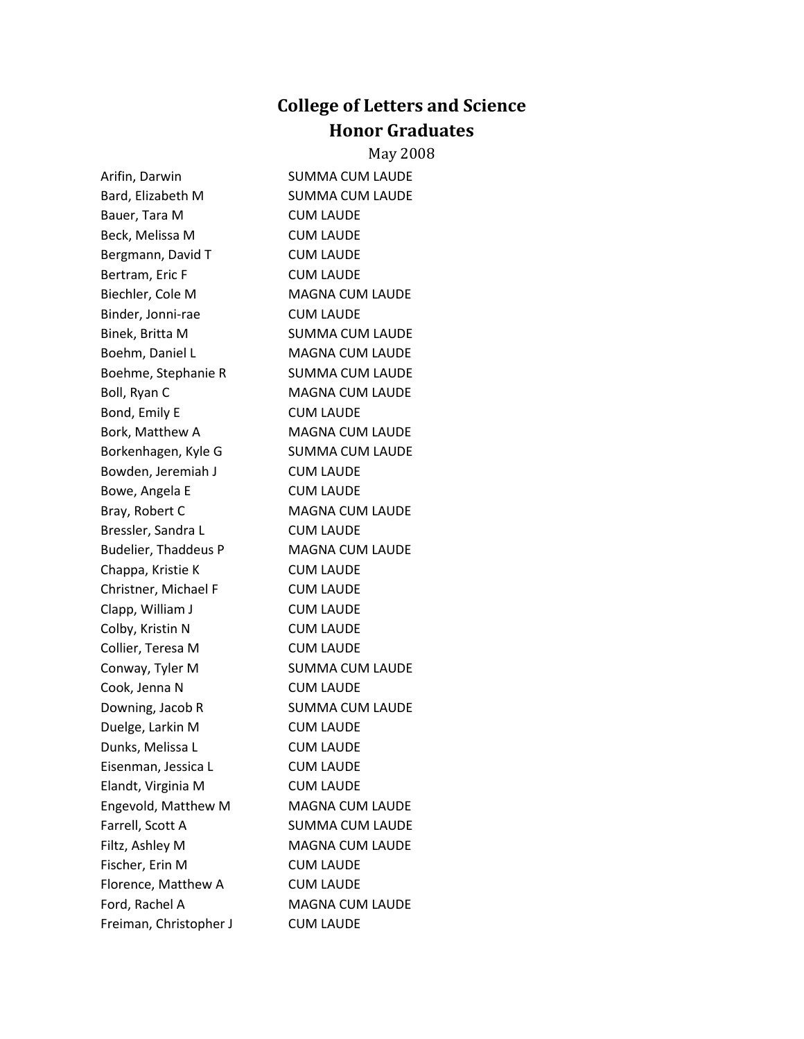## **College of Letters and Science Honor Graduates**

## May 2008

Arifin, Darwin SUMMA CUM LAUDE Bard, Elizabeth M SUMMA CUM LAUDE Bauer, Tara M CUM LAUDE Beck, Melissa M CUM LAUDE Bergmann, David T CUM LAUDE Bertram, Eric F CUM LAUDE Biechler, Cole M MAGNA CUM LAUDE Binder, Jonni-rae **CUM LAUDE** Binek, Britta M SUMMA CUM LAUDE Boehm, Daniel L<br>
MAGNA CUM LAUDE Boehme, Stephanie R SUMMA CUM LAUDE Boll, Ryan C MAGNA CUM LAUDE Bond, Emily E CUM LAUDE Bork, Matthew A MAGNA CUM LAUDE Borkenhagen, Kyle G SUMMA CUM LAUDE Bowden, Jeremiah J CUM LAUDE Bowe, Angela E CUM LAUDE Bray, Robert C MAGNA CUM LAUDE Bressler, Sandra L CUM LAUDE Budelier, Thaddeus P MAGNA CUM LAUDE Chappa, Kristie K CUM LAUDE Christner, Michael F CUM LAUDE Clapp, William J CUM LAUDE Colby, Kristin N CUM LAUDE Collier, Teresa M CUM LAUDE Conway, Tyler M SUMMA CUM LAUDE Cook, Jenna N CUM LAUDE Downing, Jacob R SUMMA CUM LAUDE Duelge, Larkin M CUM LAUDE Dunks, Melissa L<br>
CUM LAUDE Eisenman, Jessica L CUM LAUDE Elandt, Virginia M CUM LAUDE Engevold, Matthew M MAGNA CUM LAUDE Farrell, Scott A SUMMA CUM LAUDE Filtz, Ashley M MAGNA CUM LAUDE Fischer, Erin M CUM LAUDE Florence, Matthew A CUM LAUDE Ford, Rachel A MAGNA CUM LAUDE

Freiman, Christopher J CUM LAUDE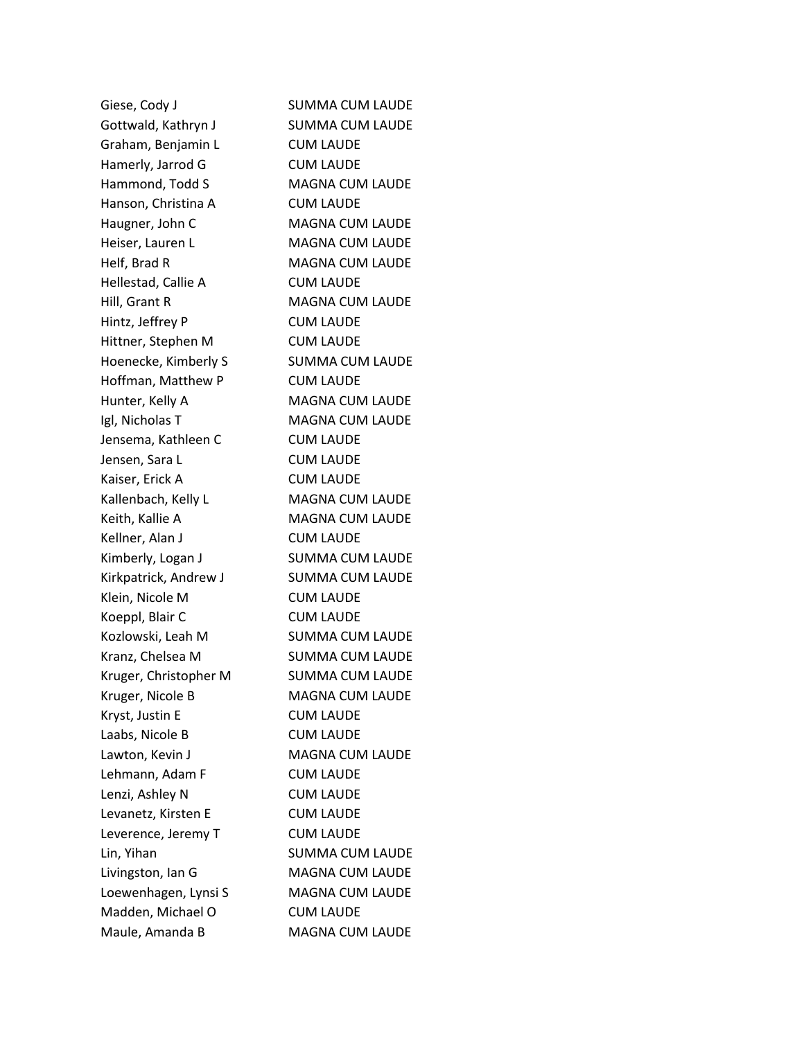Giese, Cody J SUMMA CUM LAUDE Gottwald, Kathryn J SUMMA CUM LAUDE Graham, Benjamin L CUM LAUDE Hamerly, Jarrod G CUM LAUDE Hammond, Todd S MAGNA CUM LAUDE Hanson, Christina A CUM LAUDE Haugner, John C MAGNA CUM LAUDE Heiser, Lauren L MAGNA CUM LAUDE Helf, Brad R MAGNA CUM LAUDE Hellestad, Callie A CUM LAUDE Hill, Grant R MAGNA CUM LAUDE Hintz, Jeffrey P CUM LAUDE Hittner, Stephen M CUM LAUDE Hoenecke, Kimberly S<br>SUMMA CUM LAUDE Hoffman, Matthew P CUM LAUDE Hunter, Kelly A MAGNA CUM LAUDE Igl, Nicholas T MAGNA CUM LAUDE Jensema, Kathleen C CUM LAUDE Jensen, Sara L CUM LAUDE Kaiser, Erick A CUM LAUDE Kallenbach, Kelly L<br>
MAGNA CUM LAUDE Keith, Kallie A MAGNA CUM LAUDE Kellner, Alan J CUM LAUDE Kimberly, Logan J SUMMA CUM LAUDE Kirkpatrick, Andrew J SUMMA CUM LAUDE Klein, Nicole M CUM LAUDE Koeppl, Blair C CUM LAUDE Kozlowski, Leah M SUMMA CUM LAUDE Kranz, Chelsea M SUMMA CUM LAUDE Kruger, Christopher M SUMMA CUM LAUDE Kruger, Nicole B MAGNA CUM LAUDE Kryst, Justin E CUM LAUDE Laabs, Nicole B CUM LAUDE Lawton, Kevin J MAGNA CUM LAUDE Lehmann, Adam F CUM LAUDE Lenzi, Ashley N CUM LAUDE Levanetz, Kirsten E CUM LAUDE Leverence, Jeremy T CUM LAUDE Lin, Yihan SUMMA CUM LAUDE Livingston, Ian G MAGNA CUM LAUDE Loewenhagen, Lynsi S MAGNA CUM LAUDE Madden, Michael O CUM LAUDE Maule, Amanda B MAGNA CUM LAUDE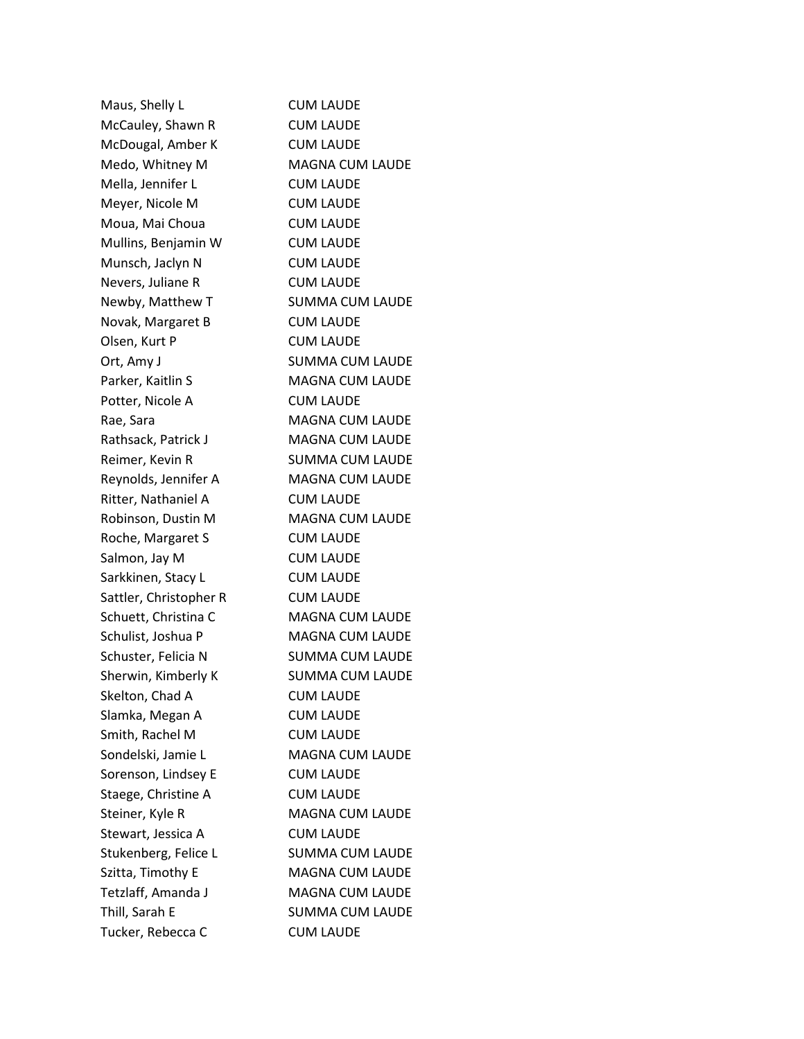Maus, Shelly L<br>
CUM LAUDE McCauley, Shawn R CUM LAUDE McDougal, Amber K CUM LAUDE Medo, Whitney M MAGNA CUM LAUDE Mella, Jennifer L CUM LAUDE Meyer, Nicole M CUM LAUDE Moua, Mai Choua CUM LAUDE Mullins, Benjamin W CUM LAUDE Munsch, Jaclyn N CUM LAUDE Nevers, Juliane R CUM LAUDE Newby, Matthew T SUMMA CUM LAUDE Novak, Margaret B CUM LAUDE Olsen, Kurt P CUM LAUDE Ort, Amy J<br>SUMMA CUM LAUDE Parker, Kaitlin S<br>
MAGNA CUM LAUDE Potter, Nicole A CUM LAUDE Rae, Sara MAGNA CUM LAUDE Rathsack, Patrick J MAGNA CUM LAUDE Reimer, Kevin R SUMMA CUM LAUDE Reynolds, Jennifer A MAGNA CUM LAUDE Ritter, Nathaniel A CUM LAUDE Robinson, Dustin M MAGNA CUM LAUDE Roche, Margaret S CUM LAUDE Salmon, Jay M CUM LAUDE Sarkkinen, Stacy L<br>
CUM LAUDE Sattler, Christopher R CUM LAUDE Schuett, Christina C MAGNA CUM LAUDE Schulist, Joshua P MAGNA CUM LAUDE Schuster, Felicia N SUMMA CUM LAUDE Sherwin, Kimberly K SUMMA CUM LAUDE Skelton, Chad A CUM LAUDE Slamka, Megan A CUM LAUDE Smith, Rachel M CUM LAUDE Sondelski, Jamie L<br>
MAGNA CUM LAUDE Sorenson, Lindsey E CUM LAUDE Staege, Christine A CUM LAUDE Steiner, Kyle R MAGNA CUM LAUDE Stewart, Jessica A CUM LAUDE Stukenberg, Felice L SUMMA CUM LAUDE Szitta, Timothy E MAGNA CUM LAUDE Tetzlaff, Amanda J MAGNA CUM LAUDE Thill, Sarah E SUMMA CUM LAUDE Tucker, Rebecca C CUM LAUDE